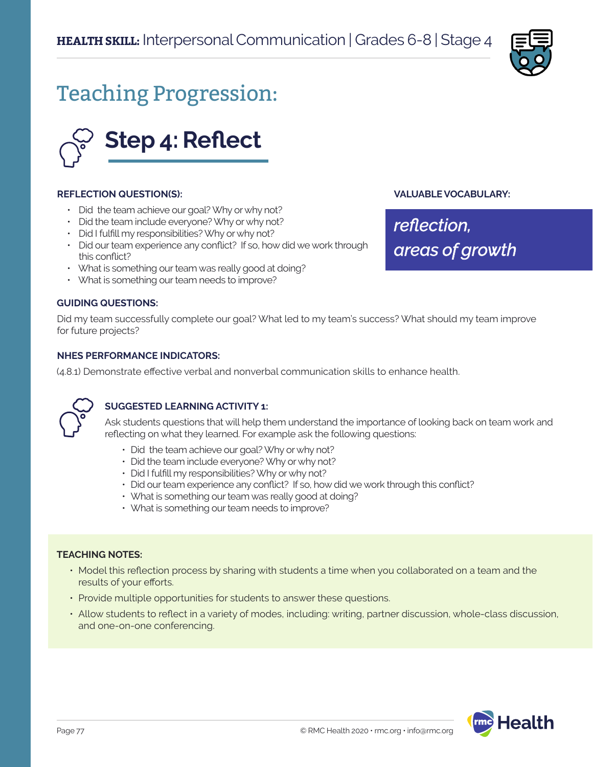

**VALUABLE VOCABULARY:**

*areas of growth*

*reflection,* 

# Teaching Progression:



#### **REFLECTION QUESTION(S):**

- Did the team achieve our goal? Why or why not?
- Did the team include everyone? Why or why not?
- Did I fulfill my responsibilities? Why or why not?
- Did our team experience any conflict? If so, how did we work through this conflict?
- What is something our team was really good at doing?
- What is something our team needs to improve?

#### **GUIDING QUESTIONS:**

Did my team successfully complete our goal? What led to my team's success? What should my team improve for future projects?

#### **NHES PERFORMANCE INDICATORS:**

(4.8.1) Demonstrate effective verbal and nonverbal communication skills to enhance health.



#### **SUGGESTED LEARNING ACTIVITY 1:**

Ask students questions that will help them understand the importance of looking back on team work and reflecting on what they learned. For example ask the following questions:

- Did the team achieve our goal? Why or why not?
- Did the team include everyone? Why or why not?
- Did I fulfill my responsibilities? Why or why not?
- Did our team experience any conflict? If so, how did we work through this conflict?
- What is something our team was really good at doing?
- What is something our team needs to improve?

#### **TEACHING NOTES:**

- Model this reflection process by sharing with students a time when you collaborated on a team and the results of your efforts.
- Provide multiple opportunities for students to answer these questions.
- Allow students to reflect in a variety of modes, including: writing, partner discussion, whole-class discussion, and one-on-one conferencing.